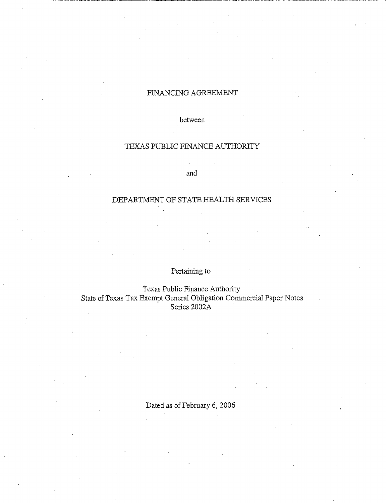# FINANCING AGREEMENT

between

# TEXAS PUBLIC FINANCE AUTHORITY

and

# DEPARTMENT OF STATE HEALTH SERVICES

# Pertaining to

. Texas Public Finance Authority State of Texas Tax Exempt General Obligation Commercial Paper Notes Series 2002A

Dated as of February 6, 2006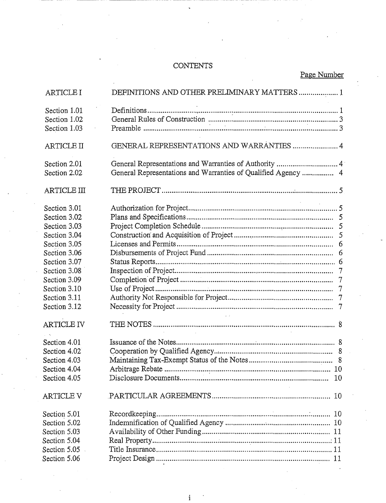# **CONTENTS**

Page Number

| ARTICLE I          | DEFINITIONS AND OTHER PRELIMINARY MATTERS 1 |
|--------------------|---------------------------------------------|
| Section 1.01       |                                             |
| Section 1.02       |                                             |
| Section 1.03       |                                             |
|                    |                                             |
| <b>ARTICLE II</b>  | GENERAL REPRESENTATIONS AND WARRANTIES  4   |
| Section 2.01       |                                             |
| Section 2.02       |                                             |
| <b>ARTICLE III</b> |                                             |
| Section 3.01       |                                             |
| Section 3.02       |                                             |
| Section 3.03       |                                             |
| Section 3.04       | 5                                           |
| Section 3.05       | 6                                           |
| Section 3.06       |                                             |
| Section 3.07       | 6                                           |
| Section 3.08       |                                             |
| Section 3.09       | $\overline{7}$                              |
| Section 3.10       |                                             |
| Section 3.11       |                                             |
| Section 3.12       |                                             |
|                    | <b>Contractor</b>                           |
| <b>ARTICLE IV</b>  |                                             |
| Section 4.01       |                                             |
| Section 4.02       |                                             |
| Section 4.03       |                                             |
| Section 4.04       |                                             |
| Section 4.05       | 10                                          |
| <b>ARTICLE V</b>   |                                             |
| Section 5.01       |                                             |
| Section 5.02       |                                             |
| Section 5.03       |                                             |
| Section 5.04       |                                             |
| Section 5.05       |                                             |
| Section 5.06       |                                             |

 $\mathbf{i}$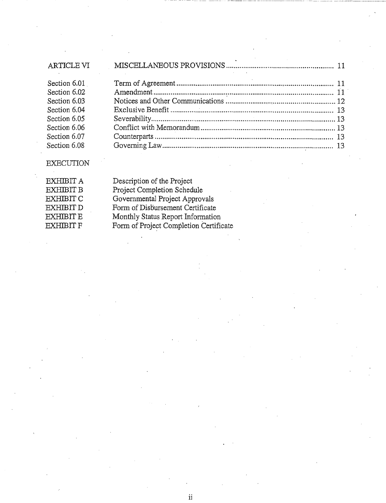| <b>ARTICLE VI</b> |  |
|-------------------|--|
| Section 6.01      |  |
| Section 6.02      |  |
| Section 6.03      |  |
| Section 6.04      |  |
| Section 6.05      |  |
| Section 6.06      |  |
| Section 6.07      |  |
| Section 6.08      |  |

# EXECUTION

Description of the Project Project Completion Schedule Governmental Project Approvals Form of Disbursement Certificate Monthly Status Report Information Form of Project Completion Certificate

ii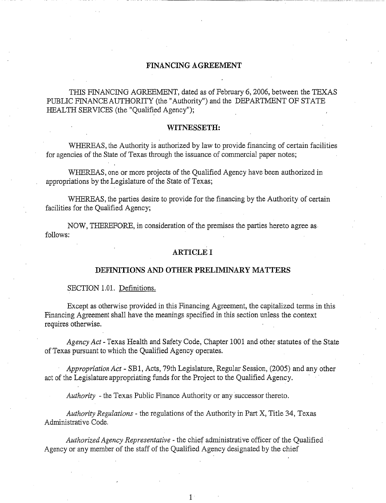## **FINANCING AGREEMENT**

THIS FINANCING AGREEMENT, dated as of February 6, 2006, between the TEXAS PUBLIC FINANCE AUTHORITY (the "Authority") and the DEPARTMENT OF STATE HEALTH SERVICES (the "Qualified Agency");

### **WITNESSETH:**

WHEREAS, the Authority is authorized by law to provide financing of certain facilities for agencies of the State of Texas through the issuance of commercial paper notes;

WHEREAS, one or more projects of the Qualified Agency have been authorized in appropriations by the Legislature of the State of Texas;

WHEREAS, the parties desire to provide for the financing by the Authority of certain facilities for the Qualified Agency;

NOW, THEREFORE, in consideration of the premises the parties hereto agree as follows:

# **ARTICLE I**

#### **DEFINITIONS AND OTHER PRELIMINARY MATTERS**

SECTION 1.01. Definitions.

Except as otherwise provided in this Financing Agreement, the capitalized terms in this Financing Agreement shall have the meanings specified in this section unless the context requires otherwise.

*Agency Act-* Texas Health and Safety Code, Chapter 1001 and other statutes of the State of Texas pursuant to which the Qualified Agency operates.

*Appropriation Act-* SB1, Acts, 79th Legislature, Regular Session, (2005) and any other act of the Legislature appropriating funds for the Project to the Qualified Agency.

*Authority* -the Texas Public Finance Authority or any successor thereto.

*Authority Regulations* - the regulations of the Authority in Part X, Title 34, Texas Administrative Code.

*Authorized Agency Representative* - the chief administrative officer of the Qualified Agency or any member of the staff of the Qualified Agency designated by the chief

 $1<sup>1</sup>$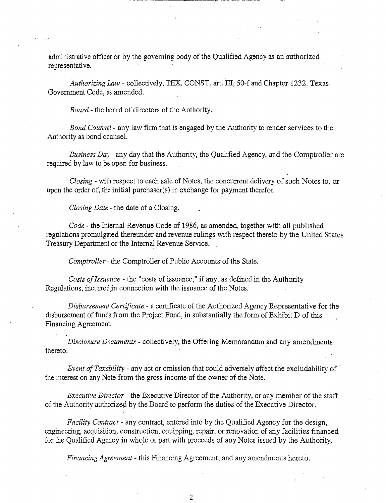administrative officer or by the governing body of the Qualified Agency as an authorized representative.

*Authorizing Law-* collectively, TEX. CONST. art. III, 50-f and Chapter 1232. Texas Government Code, as amended.

*Board-* the board of directors of the Authority.

*Bond Counsel* - any law firm that is engaged by the Authority to render services to the Authority as bond counsel.

*Business Day-* any day that the Authority, the Qualified Agency, and the Comptroller are required by law to be open for business.

*Closing-* with respect to each sale of Notes, the concurrent delivery of such Notes to, or upon the order of, the initial purchaser(s) in exchange for payment therefor.

*Closing Date* - the date of a Closing.

*Code* - the Internal Revenue Code of 19.86, as amended, together with all published regulations promulgated thereunder and revenue rulings with respect thereto by the United States Treasury Department or the Internal Revenue Service.

*Comptroller* -the Comptroller of Public Accounts of the State.

*Costs of Issuance* - the "costs of issuance," if any, as defined in the Authority Regulations, incurred in connection with the issuance of the Notes.

*Disbursement Certificate* - a certificate of the Authorized Agency Representative for the disbursement of funds from the Project Fund, in substantially the form of Exhibit D of this Financing Agreement.

*Disclosure Documents-* collectively, the Offering Memorandum and any amendments  $\blacksquare$  thereto.

*Event of Taxability-* any act or omission that could adversely affect the excludability of the interest on any Note from the gross income of the owner of the Note.

*Executive Director-* the Executive Director of the Authority, or any member of the staff of the Authority authorized by the Board to perform the duties of the Executive Director.

*Facility Contract-* any contract, entered into by the Qualified Agency for the design, engineering, acquisition, construction, equipping, repair, or renovation of any facilities financed for the Qualified Agency in whole or part with proceeds of any Notes issued by the Authority.

*Financing Agreement* - this Financing Agreement, and any amendments hereto.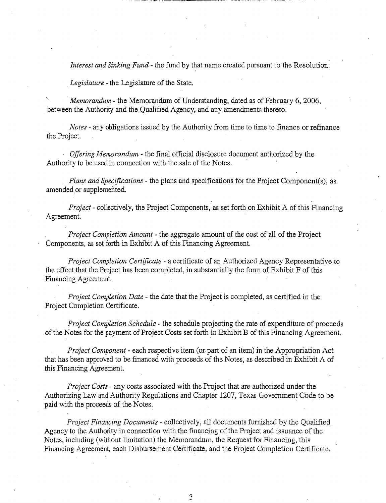*Interest and Sinking Fund* - the fund by that name created pursuant to the Resolution.

*Legislature* -the Legislature of the State.

*·Memorandum* - the Memorandum of Understanding, dated as of February 6, 2006, between the Authority and the Qualified Agency, and any amendments thereto.

*Notes* - any obligations issued by the Authority from time to time to finance or refinance the Project.

*Offering Memorandum* - the final official disclosure document authorized by the Authority to be used in connection with the sale of the Notes.

*Plans and Specifications-* the plans and specifications for the Project Component(s), as amended or supplemented.

*Project-* collectively, the Project Components, as set forth on Exhibit A of this Financing Agreement.

*Project Completion Amount-* the aggregate amount of the cost of all of the Project Components, as set forth in Exhibit A of this Financing Agreement.

*Project Completion Certificate-* a certificate of an Authorized Agency Representative to the effect that the Project has been completed, in substantially the form of Exhibit F of this Financing Agreement.

*Project Completion Date* - the date that the Project is completed, as certified in the Project Completion Certificate.

*Project Completion Schedule* - the schedule projecting the rate of expenditure of proceeds of the Notes for the payment of Project Costs set forth in -Exhibit B of this Financing Agreement.

*Project Component-* each respective item (or. part of an item) in the Appropriation Act that has been approved to be financed with proceeds of the Notes, as described in Exhibit A of this Financing Agreement.

*Project Costs-* any costs associated with the Project that are authorized under the Authorizing Law and Authority Regulations and Chapter 1207, Texas Government Code to be paid with the proceeds of the Notes.

*Project Financing Documents-* collectively, all documents furnished by the Qualified Agency to the Authority in connection with the financing of the Project and issuance of the Notes, including (without limitation) the Memorandum, the Request for Financing, this Financing Agreement, each Disbursement Certificate, and the Project Completion Certificate.

3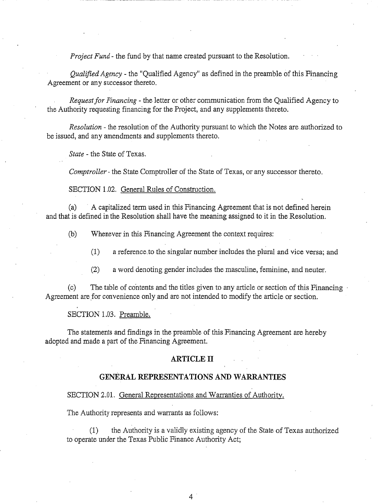*Project Fund-* the fund by that name created pursuant to the Resolution.

*Qualified Agency* - the "Qualified Agency" as defined in the preamble of this Financing Agreement or any successor thereto.

*Request for Financing* - the letter or other communication from the Qualified Agency to the Authority requesting financing for the Project, and any supplements thereto.

*Resolution* - the resolution of the Authority pursuant to which the Notes are authorized to be issued, and any amendments and supplements thereto.

*State* - the State of Texas.

*Comptroller-* the State Comptroller of the State of Texas, or any successor thereto.

SECTION 1.02. General Rules of Construction.

(a) A capitalized term used in this Financing Agreement that is not defined herein and that is defined in the Resolution shall have the meaning assigned to it in the Resolution.

(b) Whenever in this Financing Agreement the context requires:

(1) a reference.to the singular number includes the plural and vice versa; and

(2) a word denoting gender includes the masculine, feminine, and neuter.

(c) The table of contents and the titles given to any article or section of this Financing · Agreement are for convenience only and are not intended to modify the article or section.

SECTION 1.03. Preamble.

The statements and findings in the preamble of this Financing Agreement are hereby adopted and made a part of the Financing Agreement.

## **ARTICLE II**

# **GENERAL REPRESENTATIONS AND WARRANTIES**

#### SECTION 2.01. General Representations and Warranties of Authority.

The Authority represents and warrants as follows:

(1) the Authority is a validly existing agency of the State of Texas authorized to operate under the Texas Public Finance Authority Act;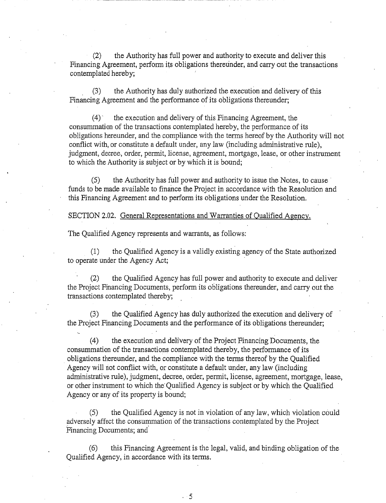(2) the Authority has full power and authority to execute and deliver this Financing Agreement, perform its obligations thereunder, and carry out the transactions contemplated hereby;

. (3) the Authority has duly authorized the execution and delivery of this Financing Agreement and the performance of its obligations thereunder;

 $(4)$  the execution and delivery of this Financing Agreement, the consummation of the transactions contemplated hereby, the performance of its obligations hereunder, and the compliance with the terms hereof by the Authority will not conflict with, or constitute a default under, any law (including administrative rule), judgment, decree, order, permit, license, agreement, mortgage, lease, or other instrument to which the Authority is subject or by which it is bound;

 $(5)$  the Authority has full power and authority to issue the Notes, to cause funds to be made available to finance the Project in accordance with the Resolution and this Financing Agreement and to perform its obligations under the Resolution.

SECTION 2.02. General Representations and Warranties of Qualified Agency.

The Qualified Agency represents and warrants, as follows:

(1) the Qualified Agency is a validly existing agency of the State authorized to operate under the Agency Act;

the Qualified Agency has full power and authority to execute and deliver the Project Financing Documents, perform its obligations thereunder, and carry out the transactions contemplated thereby;

(3) the Qualified Agency has duly authorized the execution and delivery of the Project Financing Documents and the performance of its obligations thereunder;

(4) the execution and delivery of the Project Financing Documents, the consummation of the transactions contemplated thereby, the performance of its obligations thereunder, and the compliance with the terms thereof by the Qualified Agency will not conflict with, or constitute a default under, any law (including administrative rule), judgment, decree, order, permit, license, agreement, mortgage, lease, or other instrument to which the' Qualified Agency is subject or by which the Qualified Agency or any of its property is bound;

(5) the Qualified Agency is not in violation of any law, which violation could adversely affect the consummation of the transactions contemplated by the Project Financing Documents; and

(6) this Financing Agreement is the legal, valid, and binding obligation of the Qualified Agency, in accordance with its terms.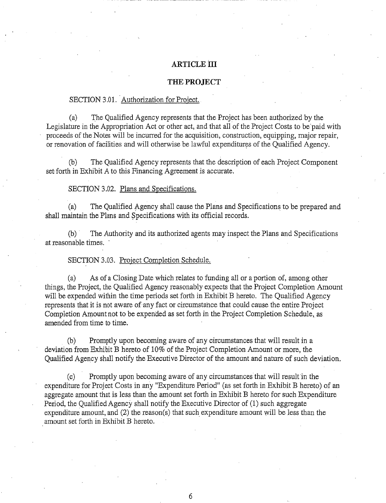## **ARTICLE III**

## **THE PROJECT**

#### SECTION 3.01. Authorization for Project.

(a) The Qualified Agency represents that the Project has been authorized by the Legislature in the Appropriation Act or other act, and that all of the Project Costs to be paid with proceeds of the Notes will be incurred for the acquisition, construction, equipping, major repair, or renovation of facilities and will otherwise be lawful expenditures of the Qualified Agency.

(b) The Qualified Agency represents that the description of each Project Component set forth in Exhibit A to this Financing Agreement is accurate.

#### SECTION 3.02. Plans and Specifications.

(a) The Qualified Agency shall cause the Plans and Specifications to be prepared and shall maintain the Plans and Specifications with its official records.

(b) · The Authority and its authorized agents may inspect the Plans and Specifications at reasonable times.  $\cdot$ 

#### SECTION 3.03. Project Completion Schedule.

(a) As of a Closing Date which relates to funding all or a portion of, among other things, the Project, the Qualified Agency reasonably expects that the Project Completion Amount will be expended within the time periods set forth in Exhibit B hereto. The Qualified Agency represents that it is not aware of any fact or circumstance that could cause the entire Project Completion Amount not to be expended as set forth in the Project Completion Schedule, as amended from time to time.

(b) Promptly upon becoming aware of any circumstances that will result in a deviation from Exhibit B hereto of 10% of the Project Completion Amount or more, the Qualified Agency shall notify the Executive Director of the amount. and nature of such deviation.

(c) Promptly upon becoming aware of any circumstancesthat will result in the expenditure for Project Costs in any "Expenditure Period" (as set forth in Exhibit B hereto) of an aggregate amount that is less than the amount set forth in Exhibit B hereto for such Expenditure Period, the Qualified Agency shall notify the Executive Director of (1) such aggregate expenditure amount, and (2) the reason(s) that such expenditure amount will be less than the amount set forth in Exhibit B hereto.

6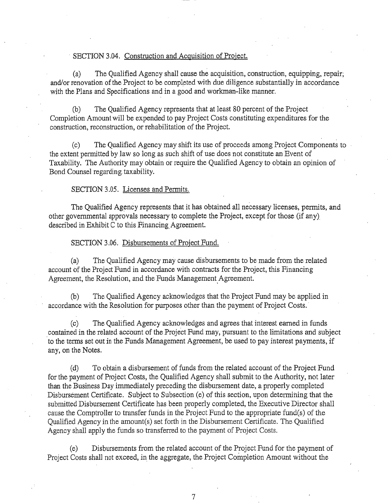## SECTION 3.04. Construction and Acquisition of Project.

(a) The Qualified Agency shall cause the acquisition, construction, equipping, repair; and/or renovation of the Project to be completed with due diligence substantially in accordance with the Plans and Specifications and in a good and workman-like manner.

(b) The Qualified Agency represents that at least 80 percent of the Project Completion Amount will be expended to pay Project Costs constituting expenditures for the construction, reconstruction, or rehabilitation of the Project.

(c) The Qualified Agency may shift its use of proceeds among Project Components to the extent permitted by law so long as such shift of use does not constitute an Event of Taxability. The Authority may obtain or require the Qualified Agency to obtain an opinion of Bond Counsel regarding taxability.

#### SECTION 3.05. Licenses and Permits.

The Qualified Agency represents that it has obtained all necessary licenses, permits, and other governmental approvals necessary to complete the Project, except for those (if any) described in Exhibit C to this Financing Agreement.

SECTION 3 .06. Disbursements of Project Fund.

(a) The Qualified Agency may cause disbursements to be made from the related account of the Project Fund in accordance with contracts for the Project, this Financing Agreement, the Resolution, and the Funds Management. Agreement.

(b) The Qualified Agency acknowledges that the Project Fund may be applied in accordance with the Resolution for purposes other than the payment of Project Costs.

(c) The Qualified Agency acknowledges and agrees that interest earned in funds contained in the related account of the Project Fund may, pursuant to the limitations and subject to the terms set out in the Funds Management Agreement, be used to pay interest payments, if any, on the Notes.

(d) To obtain a disbursement of funds from the related account of the Project Fund for the payment of Project Costs, the Qualified Agency shall submit to the Authority, not later than the Business Day immediately preceding the disbursement date, a properly completed Disbursement Certificate. Subject to Subsection (e) of this section, upon determining that the submitted Disbursement Certificate has been properly completed, the Executive Director shall cause the Comptroller to transfer funds in the Project Fund to the appropriate fund(s) of the Qualified Agency in the amount(s) set forth in the Disbursement Certificate. The Qualified Agency shall apply the funds so transferred to the payment of Project Costs.

(e) Disbursements from the related account of the Project Fund for the payment of Project Costs shall not exceed, in the aggregate, the Project Completion Amount without the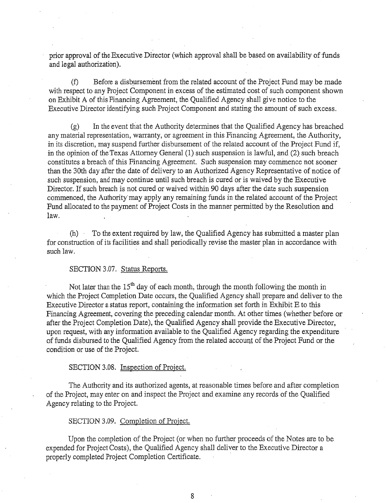prior approval of the Executive Director (which approval shall be based on availability of funds and legal authorization).

(f) Before a disbursement from the related account of the Project Fund may be made with respect to any Project Component in excess of the estimated cost of such component shown on Exhibit A of this Financing Agreement, the Qualified Agency shall give notice to the Executive Director identifying such Project Component and stating the amount of such excess.

(g) In the event that the Authority determines that the Qualified Agency has breached any material representation, warranty, or agreement in this Financing Agreement, the Authority, in its discretion, may suspend further disbursement of the related account of the Project Fund if, in the opinion of the Texas Attorney General (1) such suspension is lawful, and (2) such breach constitutes a breach of this Financing Agreement. Such suspension may commence not sooner than the 30th day after the date of delivery to an Authorized Agency Representative of notice of such suspension, and may continue until such breach is cured or is waived by the Executive Director. If such breach is not cured or waived within 90 days after the date such suspension commenced, the Authority' may apply any remaining funds in the related account of the Project Fund allocated to the payment of Project Costs in the manner permitted by the Resolution and law.

(h) To the extent required by law, the Qualified Agency has submitted a master plan for construction of its facilities and shall periodically revise the master plan in accordance with such law.

## SECTION 3.07. Status Reports.

Not later than the  $15<sup>th</sup>$  day of each month, through the month following the month in which the Project Completion Date occurs, the Qualified Agency shall prepare and deliver to the Executive Director a status report, containing the information set forth in Exhibit E to this Financing Agreement, covering the preceding calendar month. At other times (whether before or after the Project Completion Date), the Qualified Agency shall provide the Executive Director, upon request, with any information available to the Qualified Agency regarding the expenditure of funds disbursed to the Qualified Agency from the related account of the Project Fund or the condition or use of the Project.

## SECTION 3.08. Inspection of Project.

The Authority and its authorized agents, at reasonable times before and after completion of the Project, may enter on and inspect the Project and examine any records of the Qualified Agency relating to the Project.

### SECTION 3.09. Completion of Project.

Upon the completion of the Project (or when no further proceeds of the Notes are to be expended for Project Costs), the Qualified Agency shall deliver to the Executive Director a properly completed Project Completion Certificate. ·

8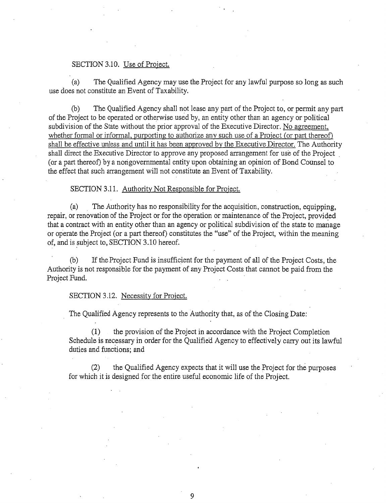#### SECTION 3.10. Use of Project.

(a) The Qualified Agency may use the Project for any lawful purpose so long as such use does not constitute an Event of Taxability.

(b) The Qualified Agency shall not lease any part of the Project to, or permit any part of the Project to be operated or otherwise used by, an entity other than an agency or political subdivision of the State without the prior approval of the Executive Director. No agreement, whether formal or informal, purporting to authorize any such use of a Project (or part thereof) shall be effective unless and until it has been approved by the Executive Director. The Authority shall direct the Executive Director to approve any proposed arrangement for use of the Project . (or a part thereof) by a nongovernmental entity upon obtaining an opinion of Bond Counsel to the effect that such arrangement will not constitute an Event of Taxability.

#### SECTION 3.11. Authority Not Responsible for Project.

(a) The Authority has no responsibility for the acquisition, construction, equipping, repair, or renovation of the Project or for the operation or maintenance of the Project, provided that a contract with an entity other than an agency or political subdivision of the state to manage or operate the Project (or a part thereof) constitutes the "use" of the Project, within the meaning of, and is subject to, SECTION 3.10 hereof.

(b) If the Project Fund is insufficient for the payment of all of the Project Costs, the Authority is not responsible for the payment of any Project Costs that cannot be paid from the Project Fund.

#### SECTION 3.12. Necessity for Project.

The Qualified Agency represents to the Authority that, as of the Closing Date:

(1) the provision of the Project in accordance with the Project Completion Schedule is necessary in order for the Qualified Agency to effectively carry out its lawful duties and functions; and

(2) the Qualified Agency expects that it will use the Project for the purposes for which it is designed for the entire useful economic life of the Project.

9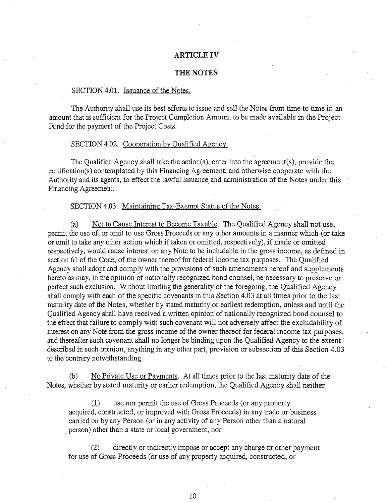# **ARTICLE IV**

## **THE NOTES**

## SECTION 4.01. Issuance of the Notes.

The Authority shall use its best efforts to issue and sell the Notes from time to time in an amount that is sufficient for the Project Completion Amount to be made available in the Project Fund for the payment of the Project Costs.

#### SECTION 4.02. Cooperation by Qualified Agency.

The Qualified Agency shall take the action(s), enter into the agreement(s), provide the certification(s) contemplated by this Financing Agreement, and otherwise cooperate with the Authority and its agents, to effect the lawful issuance and administration of the Notes under this Financing Agreement.

#### SECTION 4.03. Maintaining Tax-Exempt Status of the Notes.

(a) Not to Cause Interest to Become Taxable. The Qualified Agency shall not use, permit the use of, or omit to use Gross Proceeds or any other amounts in a manner which (or take or omit to take any other action which if taken or omitted, respectively), if made or omitted respectively, would cause interest on any Note to be includable in the gross income, as defined in section 61 of the Code, of the owner thereof for federal income tax purposes. The Qualified Agency shall adopt and comply with the provisions of such amendments hereof and supplements hereto as may, in the opinion of nationally recognized bond counsel, be necessary to preserve or perfect such exclusion. Without limiting the generality of the foregoing, the Qualified Agency shall comply with each of the specific covenants in this Section 4.03 at all times prior to the last maturity date of the Notes, whether by stated maturity or earliest redemption, unless and until the Qualified Agency shall have received a written opinion of nationally recognized bond counsel to the effect that failure to comply with such covenant will not adversely affect the excludability of interest on any Note from the gross income of the owner thereof for federal income tax purposes, and thereafter such covenant shall no longer be binding upon the Qualified Agency to the extent described in such opinion, anything in any other part, provision or subsection of this Section 4.03 to the contrary notwithstanding.

(b) No Private Use or Payments. At all times prior to the last maturity date of the · Notes, whether by stated maturity or earlier redemption, the Qualified Agency shall neither

(1) use nor permit the use of Gross Proceeds (or any property acquired, constructed, or improved with Gross Proceeds) in any trade or business carried on by any Person (or in any activity of any Person other than a natural person) other than a state or local government, nor

(2) directly or indirectly impose or accept any charge or other payment for use of Gross Proceeds (or use of any property acquired, constructed, or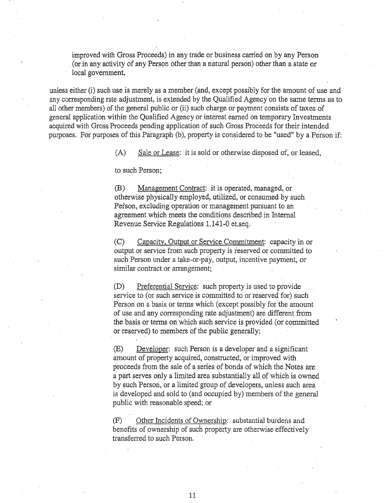improved with Gross Proceeds) in any trade or business carried on by any Person . (or in any activity of any Person other than a natural person) other than a state or local government,

unless either (i) such use is merely as a member (and, except possibly for the amount of use and any corresponding rate adjustment, is extended by the Qualified Agency on the same terms as to all other members) of the general public or (ii) such charge or payment consists of taxes of general application within the Qualified Agency or interest earned on temporary Investments acquired with Gross Proceeds pending application of such Gros.s Proceeds for their intended purposes. For purposes of this Paragraph (b), property is considered to be "used" by a Person if:

(A) Sale or Lease: it is sold or otherwise disposed of, or leased,

to such Person;

(B) Management Contract: it is operated, managed, or otherwise physically employed, utilized, or consumed by such Person, excluding operation or management pursuant to an agreement which meets the conditions described in Internal Revenue Service Regulations 1.141-0 et.seq.

(C) Capacity, Output or Service Commitment: capacity in or output or service from such property is reserved or committed to such Person under a take-or-pay, output, incentive payment, or similar contract or arrangement;

(D) Preferential Service: such property is used to provide service to (or such service is committed to or reserved for) such Person on a basis or terms which (except possibly for the amount of use and any corresponding rate adjustment) are different from the basis or terms on which such service is provided (or committed or reserved) to members of the public generally;

(E) Developer: such Person is a developer and a significant amount of property acquired, constructed, or improved with proceeds from the sale of a series of bonds of which the Notes are a part serves only a limited area substantially all of which is owned by such Person, or a limited group of developers, unless such area is developed and sold to (and occupied by) members of the general public with reasonable speed; or

(F) Other Incidents of Oyvnership: substantial burdens and benefits of ownership of such property are otherwise effectively transferred to such Person.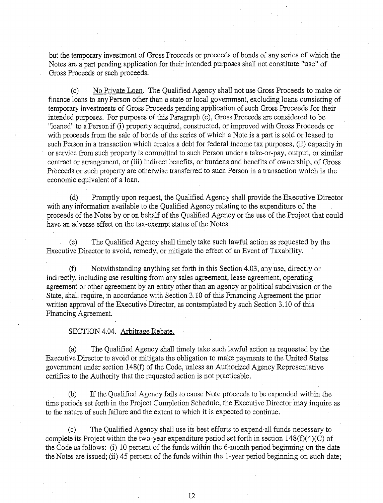but the temporary investment of Gross Proceeds or proceeds of bonds of any series of which the Notes are a part pending application for their intended purposes shall not constitute "use" of Gross Proceeds or such proceeds.

(c) No Private Loan. The Qualified Agency shall not use Gross Proceeds to make or finance loans to any Person other than a state or local government, excluding loans consisting of temporary investments of Gross Proceeds pending application of such Gross Proceeds for their intended purposes. For purposes of this Paragraph (c), Gross Proceeds are considered to be "loaned" to a Person if (i) property acquired, constructed, or improved with Gross Proceeds or with proceeds from the sale of bonds of the series of which a Note is a part is sold or leased to such Person in a transaction which creates a debt for federal income tax purposes, (ii) capacity in or service from such property is committed to such Person under a take-or-pay, output, or similar contract or arrangement, or (iii) indirect benefits, or burdens and benefits of ownership, of Gross Proceeds or such property are otherwise transferred to such Person in a transaction which is the economic equivalent of a loan.

(d) Promptly upon request, the Qualified Agency shall provide the Executive Director *with* any information available to the Qualified Agency relating to the expenditure of the proceeds of the Notes by or on behalf of the Qualified Agency or the use of the Project that could have an adverse effect on the tax-exempt status of the Notes.

(e) The Qualified Agency shall timely take such lawful action as requested by the Executive Director to avoid, remedy, or mitigate the effect of an Event of Taxability.

(f) Notwithstanding anything set forth in this Section 4.03, any use, directly or indirectly, including use resulting from any sales agreement, lease agreement, operating agreement or other agreement by an entity other than an agency or political subdivision of the State, shall require, in accordance with Section 3.10 of this Financing Agreement the prior written approval of the Executive Director, as contemplated by such Section 3.10 of this Financing Agreement.

## SECTION 4.04. Arbitrage Rebate.

(a) The Qualified Agency shall timely take such lawful action as requested by the Executive Director to avoid or mitigate the obligation to make payments to the United States government under section 148(f) of the Code, unless an Authorized Agency Representative certifies to the Authority that the requested action is not practicable.

. (b) If the Qualified Agency fails to cause Note proceeds to be expended within the time periods set forth in the Project Completion Schedule, the Executive Director 'may inquire as to the nature of such failure and the extent to which it is expected to continue.

(c) The Qualified Agency shall use its best efforts to expend all funds necessary to complete its Project within the two-year expenditure period set forth in section  $148(f)(4)(C)$  of the Code as follows: (i) 10 percent of the funds within the 6-month period beginning on the date the Notes are issued; (ii) 45 percent of the funds within the 1-year period beginning on such date;

12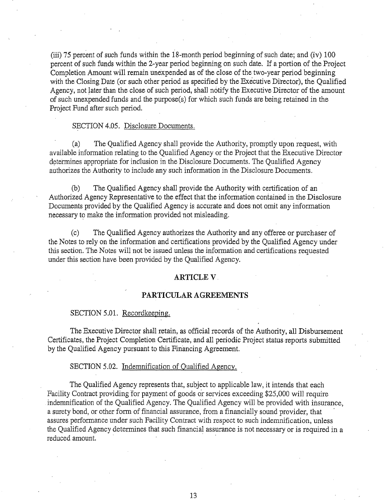(iii) 75 percent of such funds within the 18-month period beginning of such date; and (iv) 100 percent of such funds within the 2-year period beginning on such date. If a portion of the Project Completion Amount will remain unexpended as of the close of the two-year period beginning with the Closing Date (or such other period as specified by the Executive Director), the Qualified Agency, not later than the close of such period, shall notify the Executive Director of the amount of such unexpended funds and the purpose(s) for which such funds are being retained in the Project Fund after such period.

#### SECTION 4.05. Disclosure Documents.

(a) The Qualified Agency shall provide the Authority, promptly upon request, with available information relating to the Qualified. Agency or the Project that the Executive Director determines appropriate for inclusion in the Disclosure Documents. The Qualified Agency authorizes the Authority to include any such information in the Disclosure Documents.

(b) The Qualified Agency shall provide the Authority with certification of an Authorized Agency Representative to the effect that the information contained in the Disclosure Documents provided by the Qualified Agency is accurate and does not omit any information necessary to make the information provided not misleading.

(c) The Qualified Agency authorizes the Authority and any offeree or purchaser of the Notes to rely on the information and certifications provided by the Qualified Agency under this section. The Notes will not be issued unless the information and certifications requested under this section have been provided by the Qualified Agency.

#### **ARTICLEV.**

#### **PARTICULAR AGREEMENTS**

#### SECTION 5.01. Recordkeeping.

The Executive Director shall retain, as official records of the Authority, all Disbursement Certificates, the Project Completion Certificate, and all periodic Project status reports submitted by the Qualified Agency pursuant to this Financing Agreement.

#### SECTION 5.02. Indemnification of Qualified Agency.

The Qualified Agency represents that, subject to applicable law, it intends that each Facility Contract providing for payment of goods or services exceeding \$25,000 will require indemnification of the Qualified Agency. The Qualified Agency will be provided with insurance, a surety bond, or other form of financial assurance, from a financially sound provider, that assures performance under such Facility Contract with respect to such indemnification, unless the Qualified Agency determines that such financial assurance is not necessary or is required in a reduced amount.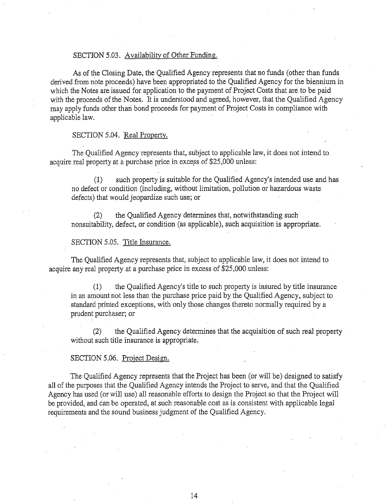## SECTION 5.03. Availability of Other Funding.

As of the Closing Date, the Qualified Agency represents that no funds (other than funds derived from note proceeds) have been appropriated to the Qualified Agency for the biennium in which the Notes are issued for application to the payment of Project Costs that are to be paid with the proceeds of the Notes. It is understood and agreed, however, that the Qualified Agency may apply funds other thari bond proceeds for payment of Project Costs in compliance with applicable law.

# SECTION 5.04. Real Property.

The Qualified Agency represents that, subject to applicable law, it does not intend to acquire real property at a purchase price in excess of \$25,000 unless:

(1) such property is suitable for the Qualified Agency's intended use and has no defect or condition (including, without limitation, pollution or hazardous waste defects) that would jeopardize such use; or

(2) the Qualified Agency determines that, notwithstanding such nonsuitability, defect, or condition (as applicable), such acquisition is appropriate.

# SECTION 5.05. Title Insurance.

The Qualified Agency represents that, subject to applicable law, it does not intend to acquire any real property at a purchase price in excess of \$25,000 unless:

(1) the Qualified Agency's title to such property is insured by title insurance in an amount not less than the purchase price paid by the Qualified Agency, subject to standard printed exceptions, with only those changes thereto normally required by a prudent purchaser; or

(2) the Qualified Agency determines that the acquisition of such real property without such title insurance is appropriate.

## SECTION 5.06. Project Design.

The Qualified Agency represents that the Project has been (or will be) designed to satisfy all of the purposes that the Qualified Agency intends the Project to serve, and that the Qualified Agency has used (or will use) all reasonable efforts to design the Project so that the Project will be provided, and can be operated, at such reasonable cost as is consistent with applicable legal requirements and the sound business judgment of the Qualified Agency.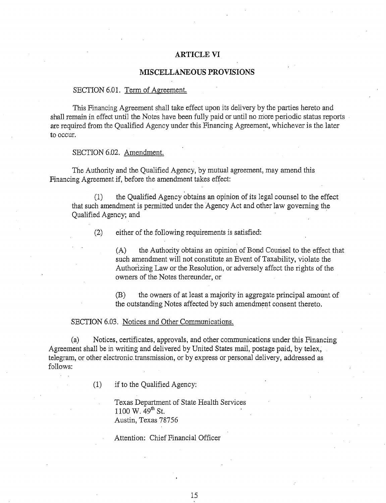#### **ARTICLE VI**

# **MISCELLANEOUS PROVISIONS**

#### SECTION 6.01. Term of Agreement.

This Financing Agreement shall take effect upon its delivery by the parties hereto and shall remain in effect until the Notes have been fully paid or until no more periodic status reports are required from the Qualified Agency under this Financing Agreement, whichever is the later to occur.

#### SECTION 6.02. Amendment.

The Authority and the Qualified Agency, by mutual agreement, may amend this Financing Agreement if, before the amendment takes effect:

(1) the Qualified Agency obtains an opinion of its legal counsel to the effect that such amendment is permitted under the Agency Act and other law governing the Qualified Agency; and

(2) either of the following requirements is satisfied:

(A) the Authority obtains an opinion of Bond Counsel to the effect that such amendment will not constitute an Event of Taxability, violate the Authorizing Law or the Resolution, or adversely affect the rights of the owners of the Notes thereunder, or

(B) the owners of at least a majority in aggregate principal amount of the outstanding Notes affected by such amendment consent thereto.

#### SECTION 6.03. Notices and Other Communications.

(a) Notices, certificates, approvals, and other communications under this Financing Agreement shall be in writing and delivered by United States mail, postage paid, by telex, telegram, or other electronic. transmission, or by express or personal delivery, addressed as follows:

(1) if to the Qualified Agency:

Texas Department of State Health Services 1100 W.  $49^{th}$  St. Austin, Texas 78756

Attention: Chief Financial Officer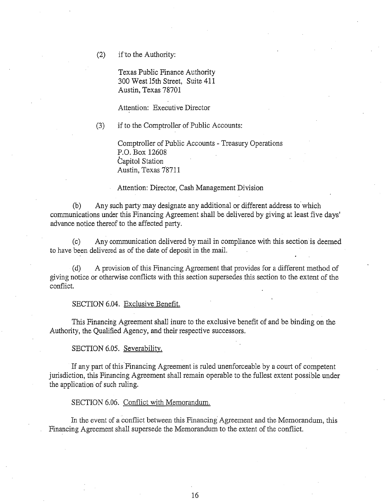(2) if'to the Authority:

Texas Public Finance Authority 300 West 15th Street, Suite 411 Austin, Texas 78701

Attention: Executive Director

(3) if to the Comptroller of Public Accounts:

Comptroller of Public Accounts - Treasury Operations P.O. Box 12608 Capitol Station Austin, Texas 78711

Attention: Director, Cash Management Division

(b) Any such party may designate any additional or different address to· which communications under this Financing Agreement shall be delivered by giving at least five days' advance notice thereof to the affected party.

(c) Any communication delivered by mail in compliance with this section is deemed to have been delivered as of the date of deposit in the mail.

(d) A provision of this Financing Agreement that provides for a different method of giving notice or otherwise conflicts with this section supersedes this section to the extent of the conflict.

#### SECTION 6.04. Exclusive Benefit.

This Financing Agreement shall inure to the exclusive benefit of and be binding on the Authority, the Qualified Agency, and their respective successors.

# SECTION 6.05. Severability.

If any part of this Financing Agreement is ruled unenforceable by a court of competent jurisdiction, this Financing Agreement shall remain operable to the fullest extent possible under the application of such ruling.

SECTION 6.06. Conflict with Memorandum.

In the event of a conflict between this Financing Agreement and the Memorandum, this Financing Agreement shall supersede the Memorandum to the extent of the conflict.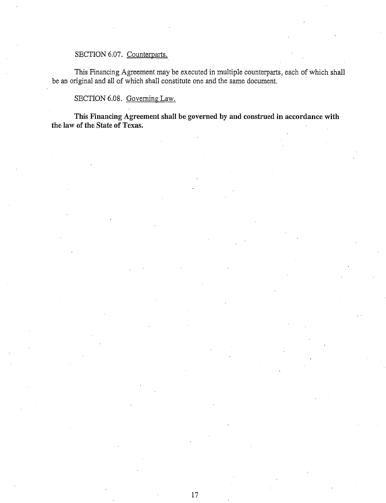# SECTION 6.07. Counterparts.

This Financing Agreement may be executed in multiple counterparts, each of which shall be an original and all of which shall constitute one and the same document.

SECTION 6.08. Governing Law.

This Financing Agreement shall be governed by and construed in accordance with the law of the State of Texas.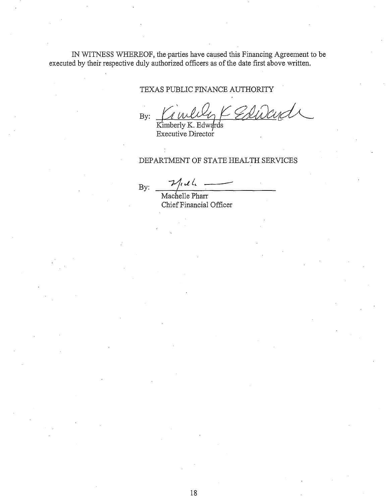IN WITNESS WHEREOF, the-parties have caused this Financing Agreement to be executed by their respective duly authorized officers as of the date first above written.

## TEXAS PUBLIC FINANCE AUTHORITY

By:  $M$  *WULL*  $\leftarrow$  *K*  $\overline{\text{Kimberly K. Edwards}}$ 

Executive Director .

DEPARTMENT OF STATE HEALTH SERVICES<br>By:  $\frac{2\pi}{\sqrt{1.2\frac{L}{L}}}$  Machelle Pharr

Chief Financial Officer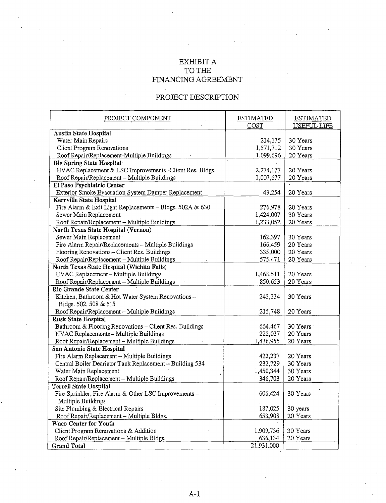# $\operatorname{EXHIBIT}$  A TO THE FINANCING AGREEMENT

# PROJECT DESCRIPTION

| PROJECT COMPONENT                                        | <b>ESTIMATED</b> | <b>ESTIMATED</b>   |
|----------------------------------------------------------|------------------|--------------------|
|                                                          | COST             | <b>USEFUL LIFE</b> |
| <b>Austin State Hospital</b>                             |                  |                    |
| Water Main Repairs                                       | 214,175          | 30 Years           |
| Client Program Renovations                               | 1,571,712        | 30 Years           |
| Roof Repair/Replacement-Multiple Buildings               | 1,099,696        | 20 Years           |
| <b>Big Spring State Hospital</b>                         |                  |                    |
| HVAC Replacement & LSC Improvements -Client Res. Bldgs.  | 2,274,177        | 20 Years           |
| Roof Repair/Replacement - Multiple Buildings             | 1,007,677        | 20 Years           |
| El Paso Psychiatric Center                               |                  |                    |
| Exterior Smoke Evacuation System Damper Replacement      | 43,254           | 20 Years           |
| Kerrville State Hospital                                 |                  |                    |
| Fire Alarm & Exit Light Replacements - Bldgs. 502A & 630 | 276,978          | 20 Years           |
| Sewer Main Replacement                                   | 1,424,007        | 30 Years           |
| Roof Repair/Replacement - Multiple Buildings             | 1,233,052        | 20 Years           |
| <b>North Texas State Hospital (Vernon)</b>               |                  |                    |
| Sewer Main Replacement                                   | 162,397          | 30 Years           |
| Fire Alarm Repair/Replacements - Multiple Buildings      | 166,459          | 20 Years           |
| Flooring Renovations - Client Res. Buildings             | 335,000          | 20 Years           |
| Roof Repair/Replacement - Multiple Buildings             | 575,471          | 20 Years           |
| North Texas State Hospital (Wichita Falls)               |                  |                    |
| HVAC Replacement - Multiple Buildings                    | 1,468,511        | 20 Years           |
| Roof Repair/Replacement - Multiple Buildings             | 850,653          | 20 Years           |
| <b>Rio Grande State Center</b>                           |                  |                    |
| Kitchen, Bathroom & Hot Water System Renovations -       | 243,334          | 30 Years           |
| Bldgs. 502, 508 & 515                                    |                  |                    |
| Roof Repair/Replacement - Multiple Buildings             | 215,748          | 20 Years           |
| <b>Rusk State Hospital</b>                               |                  |                    |
| Bathroom & Flooring Renovations - Client Res. Buildings  | 664,467          | 30 Years           |
| HVAC Replacements - Multiple Buildings                   | 222,037          | 20 Years           |
| Roof Repair/Replacement - Multiple Buildings             | 1,436,955        | 20 Years           |
| San Antonio State Hospital                               |                  |                    |
| Fire Alarm Replacement - Multiple Buildings              | 422,237          | 20 Years           |
| Central Boiler Deariator Tank Replacement - Building 534 | 232,729          | 30 Years           |
| Water Main Replacement                                   | 1,450,344        | 30 Years           |
| Roof Repair/Replacement - Multiple Buildings             | 346,703          | 20 Years           |
| <b>Terrell State Hospital</b>                            |                  |                    |
| Fire Sprinkler, Fire Alarm & Other LSC Improvements -    | 606,424          | 30 Years           |
| Multiple Buildings                                       |                  |                    |
| Site Plumbing & Electrical Repairs                       | 187,025          | 30 years           |
| Roof Repair/Replacement - Multiple Bldgs.                | 653,908          | 20 Years           |
| <b>Waco Center for Youth</b>                             |                  |                    |
| Client Program Renovations & Addition                    | 1,909,736        | 30 Years           |
| Roof Repair/Replacement - Multiple Bldgs.                | 636,134          | 20 Years           |
| <b>Grand Total</b>                                       | 21,931,000       |                    |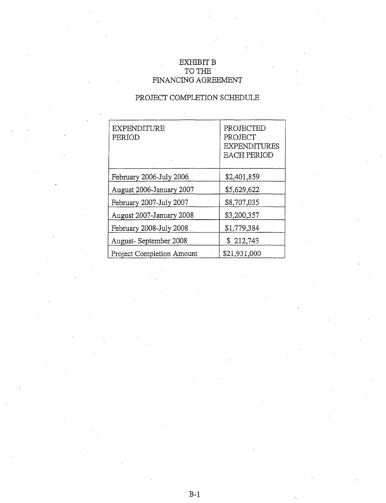# EXHIBIT B TO THE FINANCING AGREEMENT

# PROJECT COMPLETION SCHEDULE

| EXPENDITURE<br>PERIOD     | PROJECTED<br>PROJECT<br><b>EXPENDITURES</b><br><b>EACH PERIOD</b> |
|---------------------------|-------------------------------------------------------------------|
| February 2006-July 2006   | \$2,401,859                                                       |
| August 2006-January 2007  | \$5,629,622                                                       |
| February 2007-July 2007   | \$8,707,035                                                       |
| August 2007-January 2008  | \$3,200,357                                                       |
| February 2008-July 2008   | \$1,779,384                                                       |
| August-September 2008     | \$212,743                                                         |
| Project Completion Amount | \$21,931,000                                                      |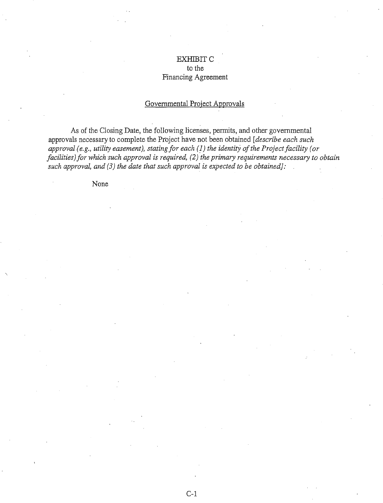# EXHIBITC to the Financing Agreement

# Governmental Project Approvals

As of the Closing Date, the following licenses, permits, and other governmental approvals necessary to complete the Project have not been obtained *[describe each such approval.( e.g., utility easement), stating for each* (!) *the identitj of the Project facility (or*  facilities) for which such approval is required, (2) the primary requirements necessary to obtain *such approval, and (3) the date that such approval is expected to be obtained]:* 

None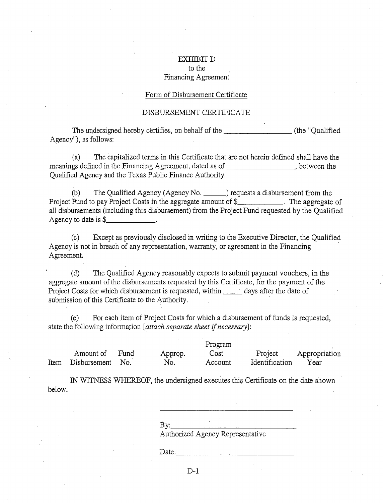# EXHIBITD to the Financing Agreement

#### Form of Disbursement Certificate

#### DISBURSEMENT CERTIFICATE

The undersigned hereby certifies, on behalf of the \_\_\_\_\_\_\_\_\_\_\_\_\_\_\_\_\_ (the "Qualified Agency"), as follows:

(a) The capitalized terms in this Certificate that are not herein defined shall have the meanings defined in the Financing Agreement, dated as of , between the Qualified Agency and the Texas Public Finance Authority.

(b) The Qualified Agency (Agency No. 100, 100) requests a disbursement from the Project Fund to pay Project Costs in the aggregate amount of\$ . The aggregate of all disbursements (including this disbursement) from the Project Fund requested by the Qualified Agency to date is  $$$ 

(c) Except as previously disclosed in writing to the Executive Director, the Qualified Agency is not in breach of any representation, warranty, or agreement in the Financing · Agreement.

(d) The Qualified Agency reasonably expects to submit payment vouchers, in the aggregate amount of the disbursements requested by this Certificate, for the payment of the Project Costs for which disbursement is requested, within **which develops** days after the date of submission of this Certificate to the Authority.

(e) For each item of Project Costs for which a disbursement of funds is requested, state the following information *[attach separate sheet* if *necessary]:* 

|      | Amount of    | Fund  | Approp. | Cost    | Project        | Appropriation |
|------|--------------|-------|---------|---------|----------------|---------------|
| Item | Disbursement | - No. | No.     | Account | Identification | Year          |

IN WITNESS WHEREOF, the undersigned executes this Certificate on the date shown below.

 $\dot{\mathbf{B}}$ y:

Authorized Agency Representative

Date:

 $D-1$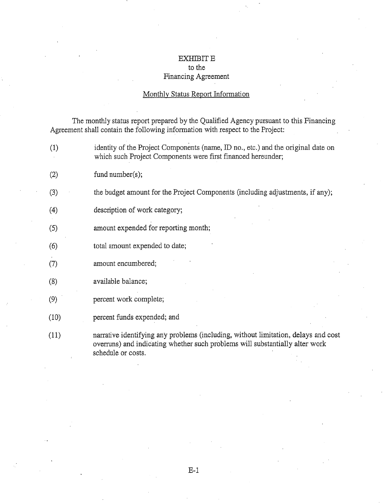# EXHIBIT E to the Financing Agreement

## Monthly Status Report Information

The monthly status report prepared by the Qualified Agency pursuant to this Financing Agreement shall contain the following information with respect to the Project:

- (1) identity of the Project Components (name, ID no., etc.) and the original date on which such Project Components were first financed hereunder;
- (2) fund number(s);
- (3) the budget amount for the Project Components (including adjustments, if any);
- (4) description of work category;
- (5) amount expended for reporting month;
- (6) total amount expended to date;
- (7) amount encumbered;
- (8) available balance;
- (9) percent work complete;
- (10) percent funds expended; and
- (11) narrative identifying any problems (including, without limitation, delays and cost overruns) and indicating whether such problems will substantially alter work schedule or costs.

E-1